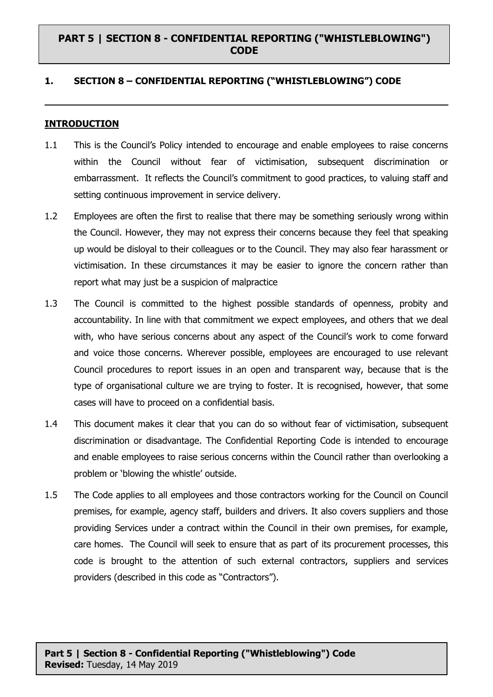### **1. SECTION 8 – CONFIDENTIAL REPORTING ("WHISTLEBLOWING") CODE**

#### **INTRODUCTION**

- 1.1 This is the Council's Policy intended to encourage and enable employees to raise concerns within the Council without fear of victimisation, subsequent discrimination or embarrassment. It reflects the Council's commitment to good practices, to valuing staff and setting continuous improvement in service delivery.
- 1.2 Employees are often the first to realise that there may be something seriously wrong within the Council. However, they may not express their concerns because they feel that speaking up would be disloyal to their colleagues or to the Council. They may also fear harassment or victimisation. In these circumstances it may be easier to ignore the concern rather than report what may just be a suspicion of malpractice
- 1.3 The Council is committed to the highest possible standards of openness, probity and accountability. In line with that commitment we expect employees, and others that we deal with, who have serious concerns about any aspect of the Council's work to come forward and voice those concerns. Wherever possible, employees are encouraged to use relevant Council procedures to report issues in an open and transparent way, because that is the type of organisational culture we are trying to foster. It is recognised, however, that some cases will have to proceed on a confidential basis.
- 1.4 This document makes it clear that you can do so without fear of victimisation, subsequent discrimination or disadvantage. The Confidential Reporting Code is intended to encourage and enable employees to raise serious concerns within the Council rather than overlooking a problem or 'blowing the whistle' outside.
- 1.5 The Code applies to all employees and those contractors working for the Council on Council premises, for example, agency staff, builders and drivers. It also covers suppliers and those providing Services under a contract within the Council in their own premises, for example, care homes. The Council will seek to ensure that as part of its procurement processes, this code is brought to the attention of such external contractors, suppliers and services providers (described in this code as "Contractors").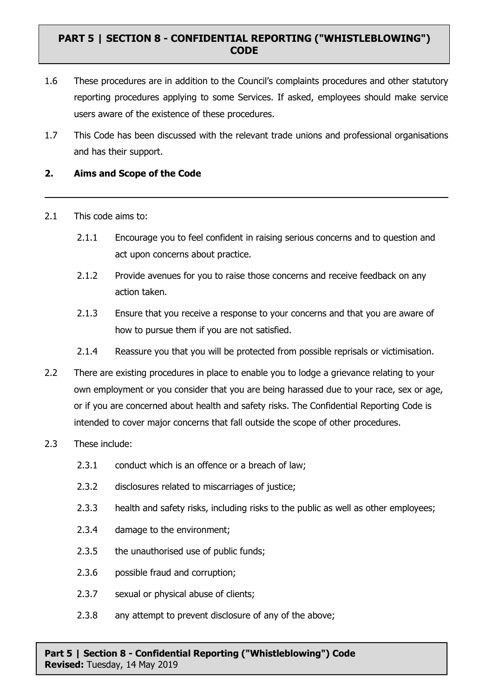- 1.6 These procedures are in addition to the Council's complaints procedures and other statutory reporting procedures applying to some Services. If asked, employees should make service users aware of the existence of these procedures.
- 1.7 This Code has been discussed with the relevant trade unions and professional organisations and has their support.

### **2. Aims and Scope of the Code**

- 2.1 This code aims to:
	- 2.1.1 Encourage you to feel confident in raising serious concerns and to question and act upon concerns about practice.
	- 2.1.2 Provide avenues for you to raise those concerns and receive feedback on any action taken.
	- 2.1.3 Ensure that you receive a response to your concerns and that you are aware of how to pursue them if you are not satisfied.
	- 2.1.4 Reassure you that you will be protected from possible reprisals or victimisation.
- 2.2 There are existing procedures in place to enable you to lodge a grievance relating to your own employment or you consider that you are being harassed due to your race, sex or age, or if you are concerned about health and safety risks. The Confidential Reporting Code is intended to cover major concerns that fall outside the scope of other procedures.
- 2.3 These include:
	- 2.3.1 conduct which is an offence or a breach of law;
	- 2.3.2 disclosures related to miscarriages of justice;
	- 2.3.3 health and safety risks, including risks to the public as well as other employees;
	- 2.3.4 damage to the environment;
	- 2.3.5 the unauthorised use of public funds;
	- 2.3.6 possible fraud and corruption;
	- 2.3.7 sexual or physical abuse of clients;
	- 2.3.8 any attempt to prevent disclosure of any of the above;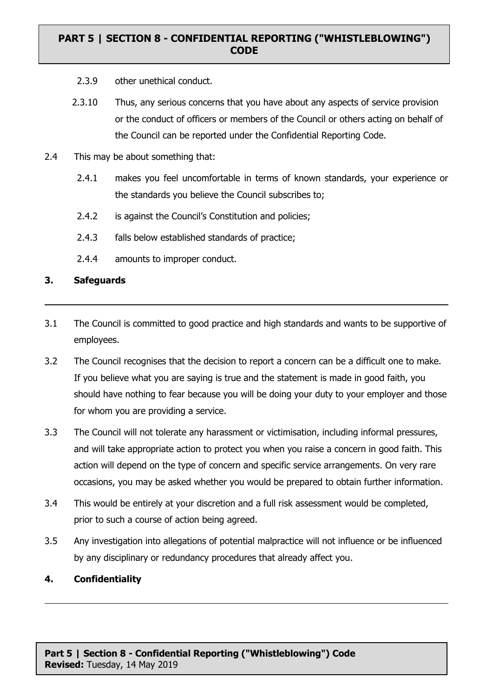- 2.3.9 other unethical conduct.
- 2.3.10 Thus, any serious concerns that you have about any aspects of service provision or the conduct of officers or members of the Council or others acting on behalf of the Council can be reported under the Confidential Reporting Code.
- 2.4 This may be about something that:
	- 2.4.1 makes you feel uncomfortable in terms of known standards, your experience or the standards you believe the Council subscribes to;
	- 2.4.2 is against the Council's Constitution and policies;
	- 2.4.3 falls below established standards of practice;
	- 2.4.4 amounts to improper conduct.

#### **3. Safeguards**

- 3.1 The Council is committed to good practice and high standards and wants to be supportive of employees.
- 3.2 The Council recognises that the decision to report a concern can be a difficult one to make. If you believe what you are saying is true and the statement is made in good faith, you should have nothing to fear because you will be doing your duty to your employer and those for whom you are providing a service.
- 3.3 The Council will not tolerate any harassment or victimisation, including informal pressures, and will take appropriate action to protect you when you raise a concern in good faith. This action will depend on the type of concern and specific service arrangements. On very rare occasions, you may be asked whether you would be prepared to obtain further information.
- 3.4 This would be entirely at your discretion and a full risk assessment would be completed, prior to such a course of action being agreed.
- 3.5 Any investigation into allegations of potential malpractice will not influence or be influenced by any disciplinary or redundancy procedures that already affect you.

#### **4. Confidentiality**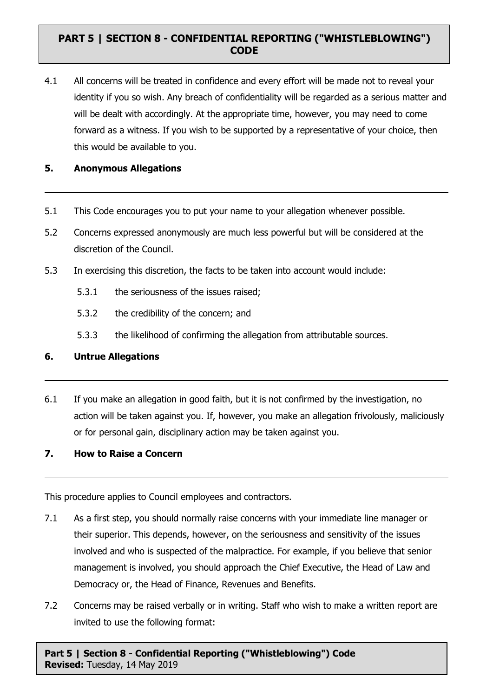4.1 All concerns will be treated in confidence and every effort will be made not to reveal your identity if you so wish. Any breach of confidentiality will be regarded as a serious matter and will be dealt with accordingly. At the appropriate time, however, you may need to come forward as a witness. If you wish to be supported by a representative of your choice, then this would be available to you.

### **5. Anonymous Allegations**

- 5.1 This Code encourages you to put your name to your allegation whenever possible.
- 5.2 Concerns expressed anonymously are much less powerful but will be considered at the discretion of the Council.
- 5.3 In exercising this discretion, the facts to be taken into account would include:
	- 5.3.1 the seriousness of the issues raised;
	- 5.3.2 the credibility of the concern; and
	- 5.3.3 the likelihood of confirming the allegation from attributable sources.

#### **6. Untrue Allegations**

6.1 If you make an allegation in good faith, but it is not confirmed by the investigation, no action will be taken against you. If, however, you make an allegation frivolously, maliciously or for personal gain, disciplinary action may be taken against you.

### **7. How to Raise a Concern**

This procedure applies to Council employees and contractors.

- 7.1 As a first step, you should normally raise concerns with your immediate line manager or their superior. This depends, however, on the seriousness and sensitivity of the issues involved and who is suspected of the malpractice. For example, if you believe that senior management is involved, you should approach the Chief Executive, the Head of Law and Democracy or, the Head of Finance, Revenues and Benefits.
- 7.2 Concerns may be raised verbally or in writing. Staff who wish to make a written report are invited to use the following format: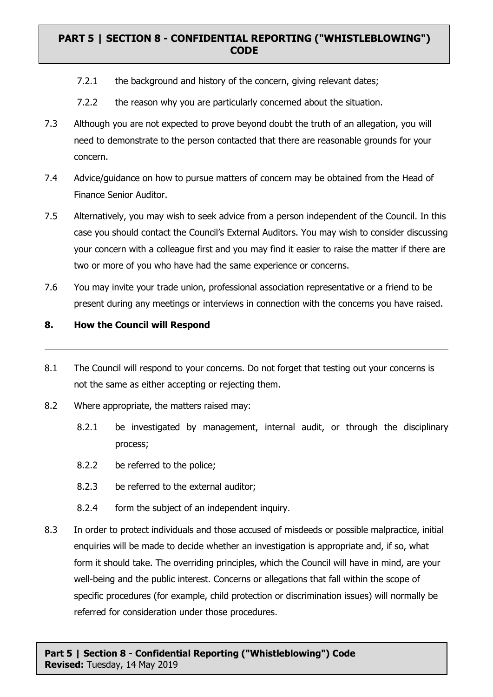- 7.2.1 the background and history of the concern, giving relevant dates;
- 7.2.2 the reason why you are particularly concerned about the situation.
- 7.3 Although you are not expected to prove beyond doubt the truth of an allegation, you will need to demonstrate to the person contacted that there are reasonable grounds for your concern.
- 7.4 Advice/guidance on how to pursue matters of concern may be obtained from the Head of Finance Senior Auditor.
- 7.5 Alternatively, you may wish to seek advice from a person independent of the Council. In this case you should contact the Council's External Auditors. You may wish to consider discussing your concern with a colleague first and you may find it easier to raise the matter if there are two or more of you who have had the same experience or concerns.
- 7.6 You may invite your trade union, professional association representative or a friend to be present during any meetings or interviews in connection with the concerns you have raised.

### **8. How the Council will Respond**

- 8.1 The Council will respond to your concerns. Do not forget that testing out your concerns is not the same as either accepting or rejecting them.
- 8.2 Where appropriate, the matters raised may:
	- 8.2.1 be investigated by management, internal audit, or through the disciplinary process;
	- 8.2.2 be referred to the police;
	- 8.2.3 be referred to the external auditor;
	- 8.2.4 form the subject of an independent inquiry.
- 8.3 In order to protect individuals and those accused of misdeeds or possible malpractice, initial enquiries will be made to decide whether an investigation is appropriate and, if so, what form it should take. The overriding principles, which the Council will have in mind, are your well-being and the public interest. Concerns or allegations that fall within the scope of specific procedures (for example, child protection or discrimination issues) will normally be referred for consideration under those procedures.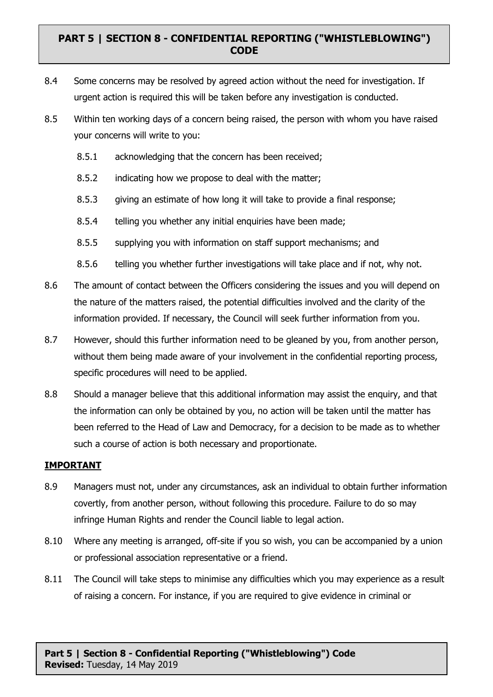- 8.4 Some concerns may be resolved by agreed action without the need for investigation. If urgent action is required this will be taken before any investigation is conducted.
- 8.5 Within ten working days of a concern being raised, the person with whom you have raised your concerns will write to you:
	- 8.5.1 acknowledging that the concern has been received;
	- 8.5.2 indicating how we propose to deal with the matter;
	- 8.5.3 giving an estimate of how long it will take to provide a final response;
	- 8.5.4 telling you whether any initial enquiries have been made;
	- 8.5.5 supplying you with information on staff support mechanisms; and
	- 8.5.6 telling you whether further investigations will take place and if not, why not.
- 8.6 The amount of contact between the Officers considering the issues and you will depend on the nature of the matters raised, the potential difficulties involved and the clarity of the information provided. If necessary, the Council will seek further information from you.
- 8.7 However, should this further information need to be gleaned by you, from another person, without them being made aware of your involvement in the confidential reporting process, specific procedures will need to be applied.
- 8.8 Should a manager believe that this additional information may assist the enquiry, and that the information can only be obtained by you, no action will be taken until the matter has been referred to the Head of Law and Democracy, for a decision to be made as to whether such a course of action is both necessary and proportionate.

#### **IMPORTANT**

- 8.9 Managers must not, under any circumstances, ask an individual to obtain further information covertly, from another person, without following this procedure. Failure to do so may infringe Human Rights and render the Council liable to legal action.
- 8.10 Where any meeting is arranged, off-site if you so wish, you can be accompanied by a union or professional association representative or a friend.
- 8.11 The Council will take steps to minimise any difficulties which you may experience as a result of raising a concern. For instance, if you are required to give evidence in criminal or